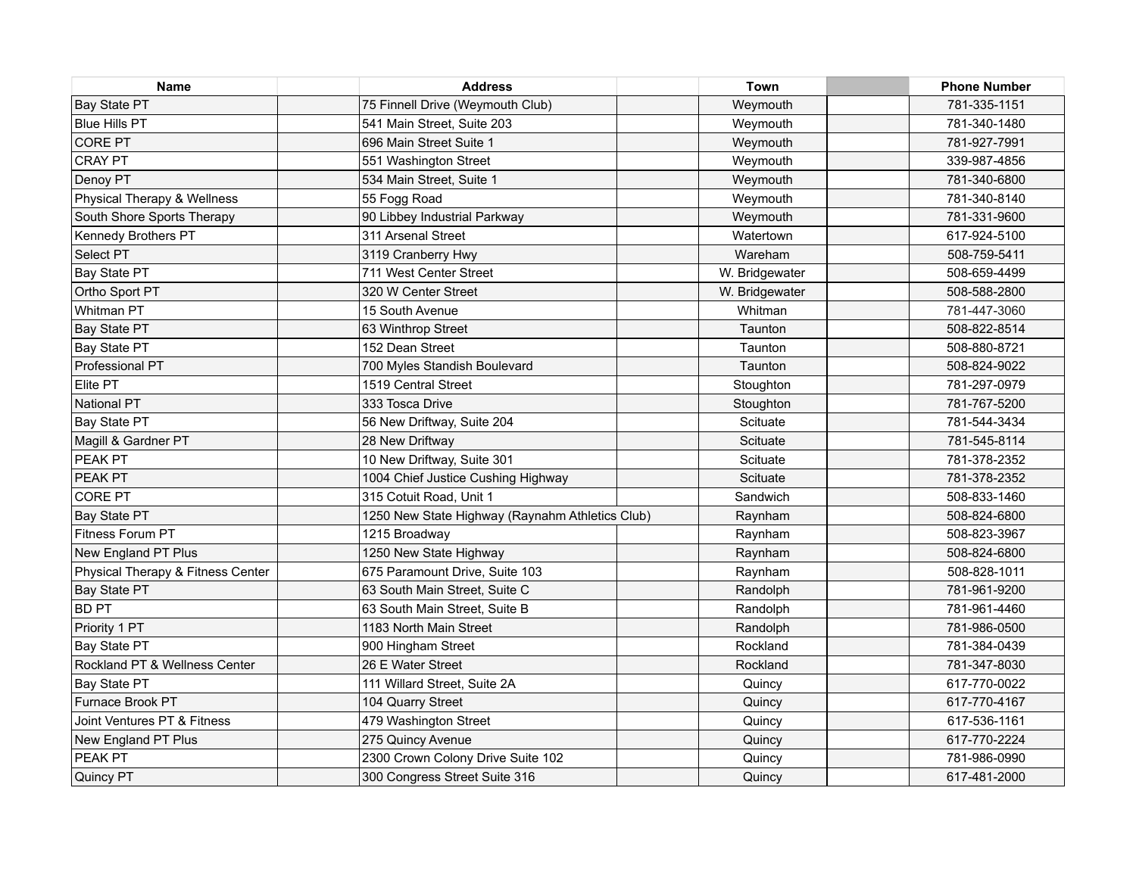| <b>Name</b>                       | <b>Address</b>                                  | Town           | <b>Phone Number</b> |
|-----------------------------------|-------------------------------------------------|----------------|---------------------|
| Bay State PT                      | 75 Finnell Drive (Weymouth Club)                | Weymouth       | 781-335-1151        |
| Blue Hills PT                     | 541 Main Street, Suite 203                      | Weymouth       | 781-340-1480        |
| <b>CORE PT</b>                    | 696 Main Street Suite 1                         | Weymouth       | 781-927-7991        |
| <b>CRAY PT</b>                    | 551 Washington Street                           | Weymouth       | 339-987-4856        |
| Denoy PT                          | 534 Main Street, Suite 1                        | Weymouth       | 781-340-6800        |
| Physical Therapy & Wellness       | 55 Fogg Road                                    | Weymouth       | 781-340-8140        |
| South Shore Sports Therapy        | 90 Libbey Industrial Parkway                    | Weymouth       | 781-331-9600        |
| Kennedy Brothers PT               | 311 Arsenal Street                              | Watertown      | 617-924-5100        |
| Select PT                         | 3119 Cranberry Hwy                              | Wareham        | 508-759-5411        |
| Bay State PT                      | 711 West Center Street                          | W. Bridgewater | 508-659-4499        |
| Ortho Sport PT                    | 320 W Center Street                             | W. Bridgewater | 508-588-2800        |
| Whitman PT                        | 15 South Avenue                                 | Whitman        | 781-447-3060        |
| <b>Bay State PT</b>               | 63 Winthrop Street                              | Taunton        | 508-822-8514        |
| Bay State PT                      | 152 Dean Street                                 | Taunton        | 508-880-8721        |
| Professional PT                   | 700 Myles Standish Boulevard                    | Taunton        | 508-824-9022        |
| Elite PT                          | 1519 Central Street                             | Stoughton      | 781-297-0979        |
| National PT                       | 333 Tosca Drive                                 | Stoughton      | 781-767-5200        |
| Bay State PT                      | 56 New Driftway, Suite 204                      | Scituate       | 781-544-3434        |
| Magill & Gardner PT               | 28 New Driftway                                 | Scituate       | 781-545-8114        |
| PEAK <sub>PT</sub>                | 10 New Driftway, Suite 301                      | Scituate       | 781-378-2352        |
| PEAK PT                           | 1004 Chief Justice Cushing Highway              | Scituate       | 781-378-2352        |
| <b>CORE PT</b>                    | 315 Cotuit Road, Unit 1                         | Sandwich       | 508-833-1460        |
| Bay State PT                      | 1250 New State Highway (Raynahm Athletics Club) | Raynham        | 508-824-6800        |
| Fitness Forum PT                  | 1215 Broadway                                   | Raynham        | 508-823-3967        |
| New England PT Plus               | 1250 New State Highway                          | Raynham        | 508-824-6800        |
| Physical Therapy & Fitness Center | 675 Paramount Drive, Suite 103                  | Raynham        | 508-828-1011        |
| Bay State PT                      | 63 South Main Street, Suite C                   | Randolph       | 781-961-9200        |
| <b>BD PT</b>                      | 63 South Main Street, Suite B                   | Randolph       | 781-961-4460        |
| Priority 1 PT                     | 1183 North Main Street                          | Randolph       | 781-986-0500        |
| Bay State PT                      | 900 Hingham Street                              | Rockland       | 781-384-0439        |
| Rockland PT & Wellness Center     | 26 E Water Street                               | Rockland       | 781-347-8030        |
| Bay State PT                      | 111 Willard Street, Suite 2A                    | Quincy         | 617-770-0022        |
| Furnace Brook PT                  | 104 Quarry Street                               | Quincy         | 617-770-4167        |
| Joint Ventures PT & Fitness       | 479 Washington Street                           | Quincy         | 617-536-1161        |
| New England PT Plus               | 275 Quincy Avenue                               | Quincy         | 617-770-2224        |
| PEAK <sub>PT</sub>                | 2300 Crown Colony Drive Suite 102               | Quincy         | 781-986-0990        |
| Quincy PT                         | 300 Congress Street Suite 316                   | Quincy         | 617-481-2000        |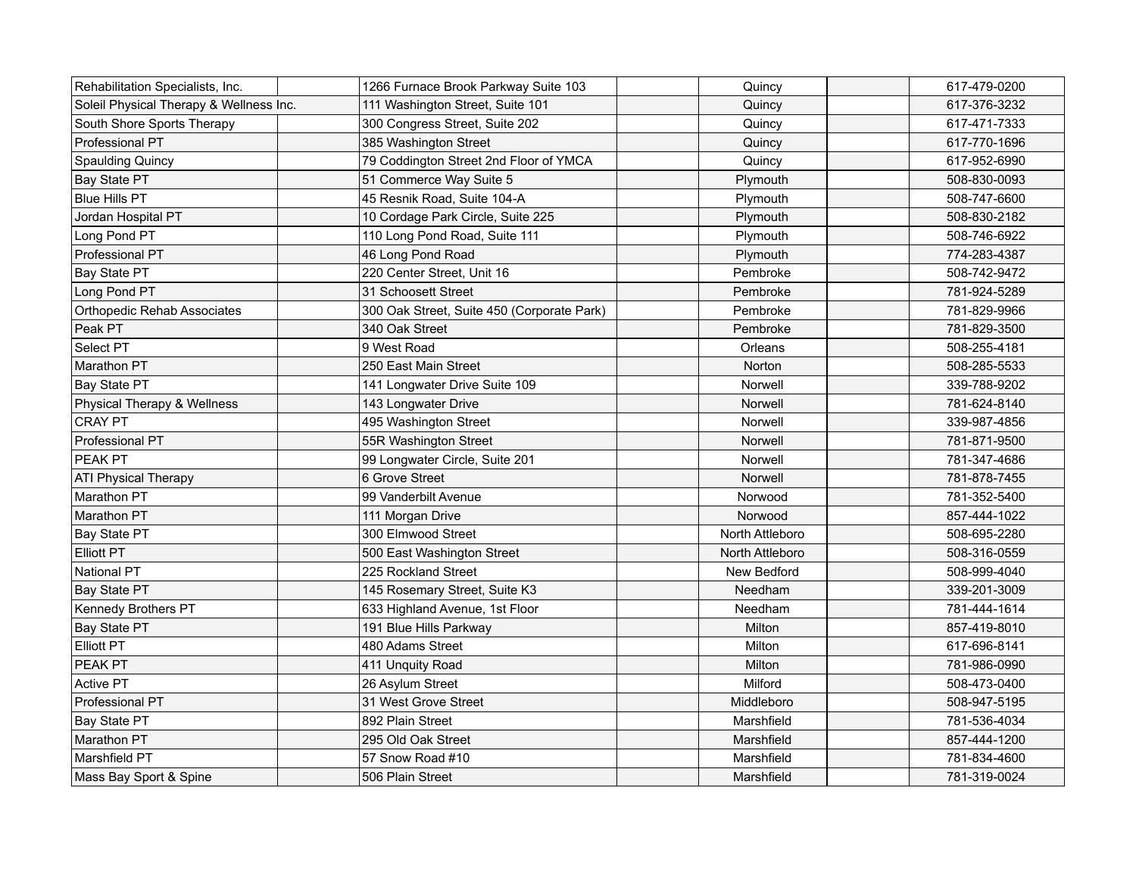| Rehabilitation Specialists, Inc.        | 1266 Furnace Brook Parkway Suite 103       | Quincy          | 617-479-0200 |
|-----------------------------------------|--------------------------------------------|-----------------|--------------|
| Soleil Physical Therapy & Wellness Inc. | 111 Washington Street, Suite 101           | Quincy          | 617-376-3232 |
| South Shore Sports Therapy              | 300 Congress Street, Suite 202             | Quincy          | 617-471-7333 |
| Professional PT                         | 385 Washington Street                      | Quincy          | 617-770-1696 |
| <b>Spaulding Quincy</b>                 | 79 Coddington Street 2nd Floor of YMCA     | Quincy          | 617-952-6990 |
| Bay State PT                            | 51 Commerce Way Suite 5                    | Plymouth        | 508-830-0093 |
| Blue Hills PT                           | 45 Resnik Road, Suite 104-A                | Plymouth        | 508-747-6600 |
| Jordan Hospital PT                      | 10 Cordage Park Circle, Suite 225          | Plymouth        | 508-830-2182 |
| Long Pond PT                            | 110 Long Pond Road, Suite 111              | Plymouth        | 508-746-6922 |
| Professional PT                         | 46 Long Pond Road                          | Plymouth        | 774-283-4387 |
| Bay State PT                            | 220 Center Street, Unit 16                 | Pembroke        | 508-742-9472 |
| Long Pond PT                            | 31 Schoosett Street                        | Pembroke        | 781-924-5289 |
| Orthopedic Rehab Associates             | 300 Oak Street, Suite 450 (Corporate Park) | Pembroke        | 781-829-9966 |
| Peak PT                                 | 340 Oak Street                             | Pembroke        | 781-829-3500 |
| Select PT                               | 9 West Road                                | Orleans         | 508-255-4181 |
| Marathon PT                             | 250 East Main Street                       | Norton          | 508-285-5533 |
| Bay State PT                            | 141 Longwater Drive Suite 109              | Norwell         | 339-788-9202 |
| Physical Therapy & Wellness             | 143 Longwater Drive                        | Norwell         | 781-624-8140 |
| CRAY PT                                 | 495 Washington Street                      | Norwell         | 339-987-4856 |
| Professional PT                         | 55R Washington Street                      | Norwell         | 781-871-9500 |
| <b>PEAK PT</b>                          | 99 Longwater Circle, Suite 201             | Norwell         | 781-347-4686 |
| <b>ATI Physical Therapy</b>             | 6 Grove Street                             | Norwell         | 781-878-7455 |
| Marathon PT                             | 99 Vanderbilt Avenue                       | Norwood         | 781-352-5400 |
| Marathon PT                             | 111 Morgan Drive                           | Norwood         | 857-444-1022 |
| Bay State PT                            | 300 Elmwood Street                         | North Attleboro | 508-695-2280 |
| Elliott PT                              | 500 East Washington Street                 | North Attleboro | 508-316-0559 |
| National PT                             | 225 Rockland Street                        | New Bedford     | 508-999-4040 |
| Bay State PT                            | 145 Rosemary Street, Suite K3              | Needham         | 339-201-3009 |
| Kennedy Brothers PT                     | 633 Highland Avenue, 1st Floor             | Needham         | 781-444-1614 |
| Bay State PT                            | 191 Blue Hills Parkway                     | Milton          | 857-419-8010 |
| Elliott PT                              | 480 Adams Street                           | Milton          | 617-696-8141 |
| <b>PEAK PT</b>                          | 411 Unquity Road                           | Milton          | 781-986-0990 |
| <b>Active PT</b>                        | 26 Asylum Street                           | Milford         | 508-473-0400 |
| Professional PT                         | 31 West Grove Street                       | Middleboro      | 508-947-5195 |
| Bay State PT                            | 892 Plain Street                           | Marshfield      | 781-536-4034 |
| Marathon PT                             | 295 Old Oak Street                         | Marshfield      | 857-444-1200 |
| Marshfield PT                           | 57 Snow Road #10                           | Marshfield      | 781-834-4600 |
| Mass Bay Sport & Spine                  | 506 Plain Street                           | Marshfield      | 781-319-0024 |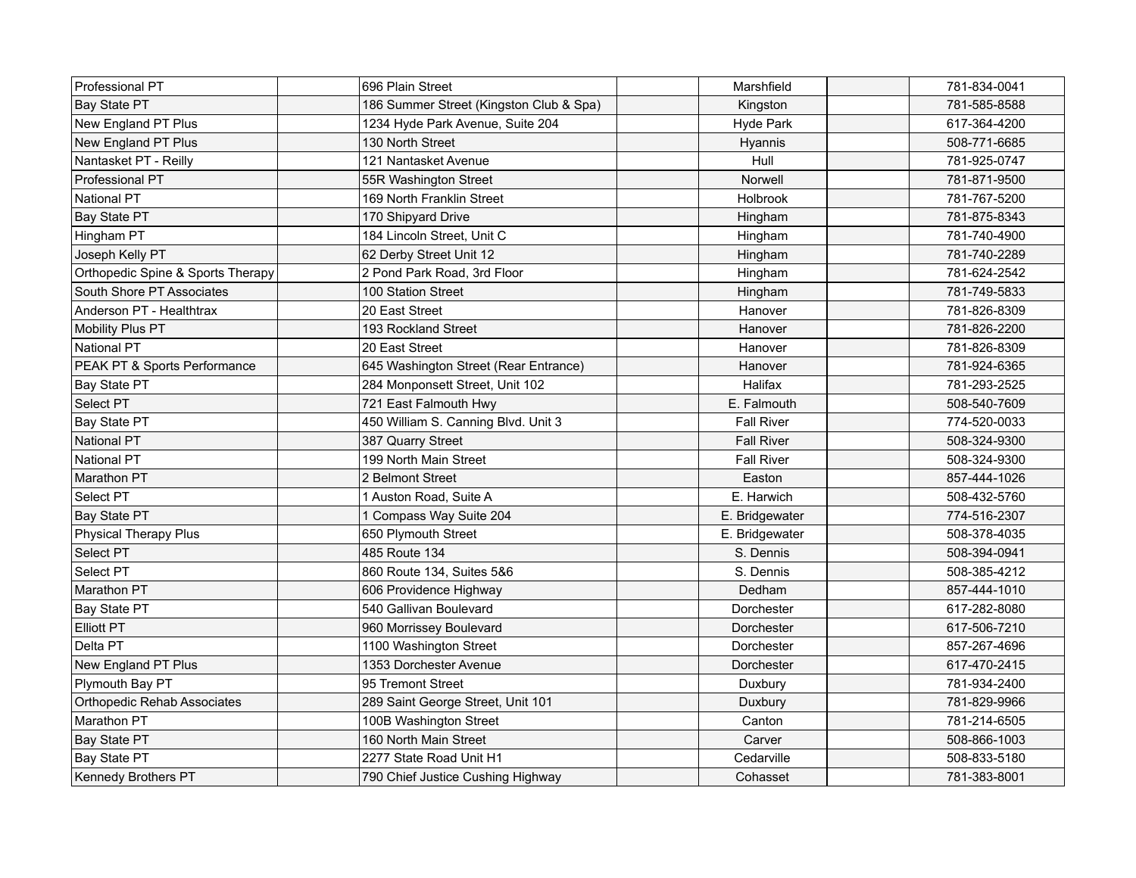| Professional PT                   | 696 Plain Street                        | Marshfield        | 781-834-0041 |
|-----------------------------------|-----------------------------------------|-------------------|--------------|
| <b>Bay State PT</b>               | 186 Summer Street (Kingston Club & Spa) | Kingston          | 781-585-8588 |
| New England PT Plus               | 1234 Hyde Park Avenue, Suite 204        | <b>Hyde Park</b>  | 617-364-4200 |
| New England PT Plus               | 130 North Street                        | Hyannis           | 508-771-6685 |
| Nantasket PT - Reilly             | 121 Nantasket Avenue                    | Hull              | 781-925-0747 |
| Professional PT                   | 55R Washington Street                   | Norwell           | 781-871-9500 |
| National PT                       | 169 North Franklin Street               | Holbrook          | 781-767-5200 |
| Bay State PT                      | 170 Shipyard Drive                      | Hingham           | 781-875-8343 |
| Hingham PT                        | 184 Lincoln Street, Unit C              | Hingham           | 781-740-4900 |
| Joseph Kelly PT                   | 62 Derby Street Unit 12                 | Hingham           | 781-740-2289 |
| Orthopedic Spine & Sports Therapy | 2 Pond Park Road, 3rd Floor             | Hingham           | 781-624-2542 |
| South Shore PT Associates         | 100 Station Street                      | Hingham           | 781-749-5833 |
| Anderson PT - Healthtrax          | 20 East Street                          | Hanover           | 781-826-8309 |
| Mobility Plus PT                  | 193 Rockland Street                     | Hanover           | 781-826-2200 |
| National PT                       | 20 East Street                          | Hanover           | 781-826-8309 |
| PEAK PT & Sports Performance      | 645 Washington Street (Rear Entrance)   | Hanover           | 781-924-6365 |
| Bay State PT                      | 284 Monponsett Street, Unit 102         | Halifax           | 781-293-2525 |
| Select PT                         | 721 East Falmouth Hwy                   | E. Falmouth       | 508-540-7609 |
| Bay State PT                      | 450 William S. Canning Blvd. Unit 3     | <b>Fall River</b> | 774-520-0033 |
| National PT                       | 387 Quarry Street                       | <b>Fall River</b> | 508-324-9300 |
| <b>National PT</b>                | 199 North Main Street                   | <b>Fall River</b> | 508-324-9300 |
| Marathon PT                       | 2 Belmont Street                        | Easton            | 857-444-1026 |
| Select PT                         | 1 Auston Road, Suite A                  | E. Harwich        | 508-432-5760 |
| Bay State PT                      | 1 Compass Way Suite 204                 | E. Bridgewater    | 774-516-2307 |
| Physical Therapy Plus             | 650 Plymouth Street                     | E. Bridgewater    | 508-378-4035 |
| Select PT                         | 485 Route 134                           | S. Dennis         | 508-394-0941 |
| Select PT                         | 860 Route 134, Suites 5&6               | S. Dennis         | 508-385-4212 |
| Marathon PT                       | 606 Providence Highway                  | Dedham            | 857-444-1010 |
| Bay State PT                      | 540 Gallivan Boulevard                  | Dorchester        | 617-282-8080 |
| <b>Elliott PT</b>                 | 960 Morrissey Boulevard                 | Dorchester        | 617-506-7210 |
| Delta PT                          | 1100 Washington Street                  | Dorchester        | 857-267-4696 |
| New England PT Plus               | 1353 Dorchester Avenue                  | Dorchester        | 617-470-2415 |
| Plymouth Bay PT                   | 95 Tremont Street                       | Duxbury           | 781-934-2400 |
| Orthopedic Rehab Associates       | 289 Saint George Street, Unit 101       | Duxbury           | 781-829-9966 |
| Marathon PT                       | 100B Washington Street                  | Canton            | 781-214-6505 |
| Bay State PT                      | 160 North Main Street                   | Carver            | 508-866-1003 |
| Bay State PT                      | 2277 State Road Unit H1                 | Cedarville        | 508-833-5180 |
| Kennedy Brothers PT               | 790 Chief Justice Cushing Highway       | Cohasset          | 781-383-8001 |